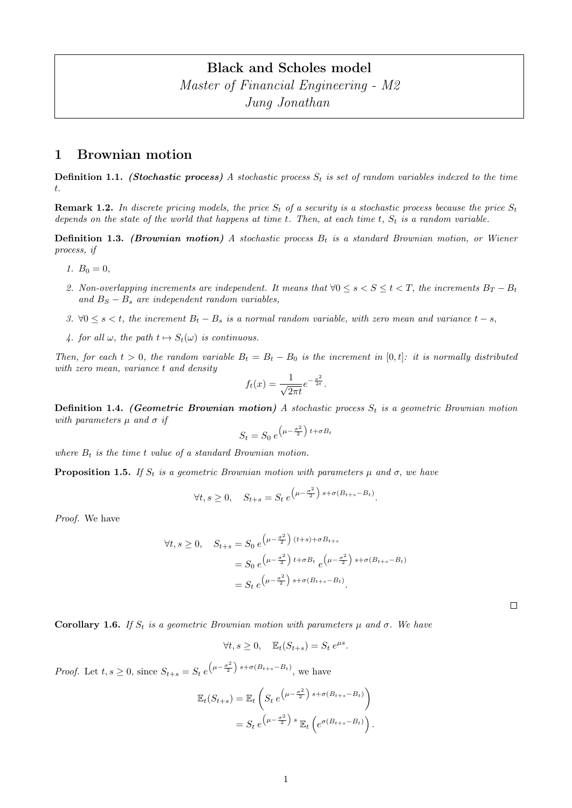# Black and Scholes model Master of Financial Engineering - M2 Jung Jonathan

### 1 Brownian motion

**Definition 1.1.** (Stochastic process) A stochastic process  $S_t$  is set of random variables indexed to the time t.

**Remark 1.2.** In discrete pricing models, the price  $S_t$  of a security is a stochastic process because the price  $S_t$ depends on the state of the world that happens at time  $t$ . Then, at each time  $t$ ,  $S_t$  is a random variable.

**Definition 1.3.** (Brownian motion) A stochastic process  $B_t$  is a standard Brownian motion, or Wiener process, if

- 1.  $B_0 = 0$ ,
- 2. Non-overlapping increments are independent. It means that  $\forall 0 \le s < s \le t < T$ , the increments  $B_T B_t$ and  $B<sub>S</sub> - B<sub>s</sub>$  are independent random variables,
- 3.  $\forall 0 \leq s < t$ , the increment  $B_t B_s$  is a normal random variable, with zero mean and variance  $t s$ ,
- 4. for all  $\omega$ , the path  $t \mapsto S_t(\omega)$  is continuous.

Then, for each  $t > 0$ , the random variable  $B_t = B_t - B_0$  is the increment in [0, t]: it is normally distributed with zero mean, variance t and density

$$
f_t(x) = \frac{1}{\sqrt{2\pi t}}e^{-\frac{x^2}{2t}}.
$$

**Definition 1.4.** (Geometric Brownian motion) A stochastic process  $S_t$  is a geometric Brownian motion with parameters  $\mu$  and  $\sigma$  if

$$
S_t = S_0 e^{\left(\mu - \frac{\sigma^2}{2}\right)t + \sigma B_t}
$$

where  $B_t$  is the time t value of a standard Brownian motion.

**Proposition 1.5.** If  $S_t$  is a geometric Brownian motion with parameters  $\mu$  and  $\sigma$ , we have

$$
\forall t, s \ge 0, \quad S_{t+s} = S_t e^{\left(\mu - \frac{\sigma^2}{2}\right) s + \sigma (B_{t+s} - B_t)}.
$$

Proof. We have

$$
\forall t, s \ge 0, \quad S_{t+s} = S_0 e^{\left(\mu - \frac{\sigma^2}{2}\right)(t+s) + \sigma B_{t+s}}
$$
  
= 
$$
S_0 e^{\left(\mu - \frac{\sigma^2}{2}\right)t + \sigma B_t} e^{\left(\mu - \frac{\sigma^2}{2}\right)s + \sigma(B_{t+s} - B_t)}
$$
  
= 
$$
S_t e^{\left(\mu - \frac{\sigma^2}{2}\right)s + \sigma(B_{t+s} - B_t)}.
$$

Corollary 1.6. If  $S_t$  is a geometric Brownian motion with parameters  $\mu$  and  $\sigma$ . We have

$$
\forall t, s \ge 0, \quad \mathbb{E}_t(S_{t+s}) = S_t e^{\mu s}.
$$

*Proof.* Let  $t, s \geq 0$ , since  $S_{t+s} = S_t e^{(\mu - \frac{\sigma^2}{2}) s + \sigma (B_{t+s} - B_t)},$  we have

$$
\mathbb{E}_t(S_{t+s}) = \mathbb{E}_t\left(S_t e^{\left(\mu - \frac{\sigma^2}{2}\right)s + \sigma(B_{t+s} - B_t)\right)}
$$

$$
= S_t e^{\left(\mu - \frac{\sigma^2}{2}\right)s} \mathbb{E}_t\left(e^{\sigma(B_{t+s} - B_t)}\right).
$$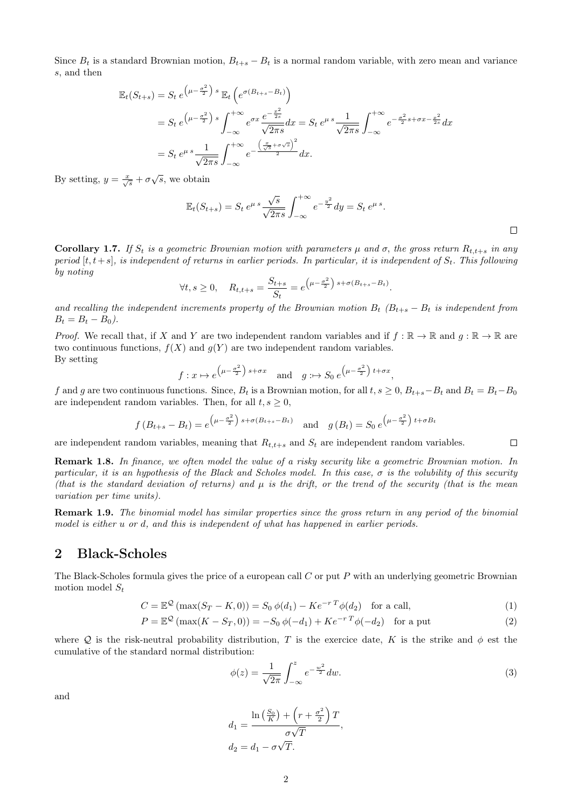Since  $B_t$  is a standard Brownian motion,  $B_{t+s} - B_t$  is a normal random variable, with zero mean and variance s, and then

$$
\mathbb{E}_t(S_{t+s}) = S_t e^{\left(\mu - \frac{\sigma^2}{2}\right)s} \mathbb{E}_t\left(e^{\sigma(B_{t+s} - B_t)}\right)
$$
  
=  $S_t e^{\left(\mu - \frac{\sigma^2}{2}\right)s} \int_{-\infty}^{+\infty} e^{\sigma x} \frac{e^{-\frac{x^2}{2s}}}{\sqrt{2\pi s}} dx = S_t e^{\mu s} \frac{1}{\sqrt{2\pi s}} \int_{-\infty}^{+\infty} e^{-\frac{\sigma^2}{2}s + \sigma x - \frac{x^2}{2s}} dx$   
=  $S_t e^{\mu s} \frac{1}{\sqrt{2\pi s}} \int_{-\infty}^{+\infty} e^{-\frac{\left(\frac{x}{\sqrt{s}} + \sigma \sqrt{s}\right)^2}{2}} dx.$ 

By setting,  $y = \frac{x}{\sqrt{s}} + \sigma \sqrt{s}$ , we obtain

$$
\mathbb{E}_t(S_{t+s}) = S_t e^{\mu s} \frac{\sqrt{s}}{\sqrt{2\pi s}} \int_{-\infty}^{+\infty} e^{-\frac{y^2}{2}} dy = S_t e^{\mu s}.
$$

Corollary 1.7. If  $S_t$  is a geometric Brownian motion with parameters  $\mu$  and  $\sigma$ , the gross return  $R_{t,t+s}$  in any period  $[t, t+s]$ , is independent of returns in earlier periods. In particular, it is independent of  $S_t$ . This following by noting

$$
\forall t, s \ge 0, \quad R_{t,t+s} = \frac{S_{t+s}}{S_t} = e^{\left(\mu - \frac{\sigma^2}{2}\right) s + \sigma (B_{t+s} - B_t)}.
$$

and recalling the independent increments property of the Brownian motion  $B_t$  ( $B_{t+s} - B_t$  is independent from  $B_t = B_t - B_0$ .

*Proof.* We recall that, if X and Y are two independent random variables and if  $f : \mathbb{R} \to \mathbb{R}$  and  $g : \mathbb{R} \to \mathbb{R}$  are two continuous functions,  $f(X)$  and  $g(Y)$  are two independent random variables. By setting

$$
f: x \mapsto e^{\left(\mu - \frac{\sigma^2}{2}\right) s + \sigma x}
$$
 and  $g: \mapsto S_0 e^{\left(\mu - \frac{\sigma^2}{2}\right) t + \sigma x}$ ,

f and g are two continuous functions. Since,  $B_t$  is a Brownian motion, for all  $t, s \geq 0$ ,  $B_{t+s}-B_t$  and  $B_t = B_t - B_0$ are independent random variables. Then, for all  $t, s \geq 0$ ,

$$
f(B_{t+s} - B_t) = e^{\left(\mu - \frac{\sigma^2}{2}\right) s + \sigma(B_{t+s} - B_t)}
$$
 and  $g(B_t) = S_0 e^{\left(\mu - \frac{\sigma^2}{2}\right) t + \sigma B_t}$ 

are independent random variables, meaning that  $R_{t,t+s}$  and  $S_t$  are independent random variables.

Remark 1.8. In finance, we often model the value of a risky security like a geometric Brownian motion. In particular, it is an hypothesis of the Black and Scholes model. In this case,  $\sigma$  is the volubility of this security (that is the standard deviation of returns) and  $\mu$  is the drift, or the trend of the security (that is the mean variation per time units).

Remark 1.9. The binomial model has similar properties since the gross return in any period of the binomial model is either u or d, and this is independent of what has happened in earlier periods.

### 2 Black-Scholes

The Black-Scholes formula gives the price of a european call C or put P with an underlying geometric Brownian motion model  $S_t$ 

$$
C = \mathbb{E}^{\mathcal{Q}}\left(\max(S_T - K, 0)\right) = S_0 \,\phi(d_1) - Ke^{-rT}\phi(d_2) \quad \text{for a call},\tag{1}
$$

$$
P = \mathbb{E}^{\mathcal{Q}}(\max(K - S_T, 0)) = -S_0 \phi(-d_1) + Ke^{-rT}\phi(-d_2) \text{ for a put } (2)
$$

,

where Q is the risk-neutral probability distribution, T is the exercice date, K is the strike and  $\phi$  est the cumulative of the standard normal distribution:

$$
\phi(z) = \frac{1}{\sqrt{2\pi}} \int_{-\infty}^{z} e^{-\frac{w^2}{2}} dw.
$$
\n(3)

 $\Box$ 

and

$$
d_1 = \frac{\ln\left(\frac{S_0}{K}\right) + \left(r + \frac{\sigma^2}{2}\right)T}{\sigma\sqrt{T}}
$$
  

$$
d_2 = d_1 - \sigma\sqrt{T}.
$$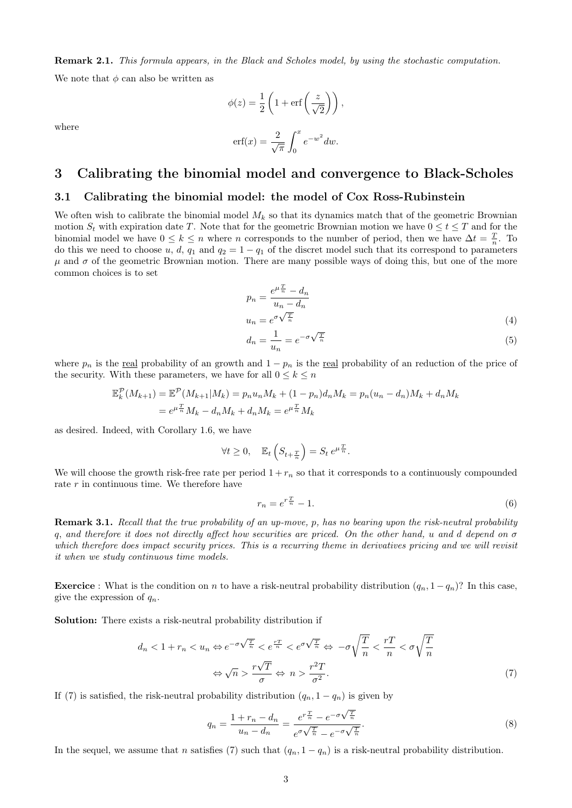Remark 2.1. This formula appears, in the Black and Scholes model, by using the stochastic computation. We note that  $\phi$  can also be written as

where

$$
\phi(z) = \frac{1}{2} \left( 1 + \text{erf}\left(\frac{z}{\sqrt{2}}\right) \right),
$$

$$
\text{erf}(x) = \frac{2}{\sqrt{\pi}} \int_0^x e^{-w^2} dw.
$$

## 3 Calibrating the binomial model and convergence to Black-Scholes

0

#### 3.1 Calibrating the binomial model: the model of Cox Ross-Rubinstein

We often wish to calibrate the binomial model  $M_k$  so that its dynamics match that of the geometric Brownian motion  $S_t$  with expiration date T. Note that for the geometric Brownian motion we have  $0 \le t \le T$  and for the binomial model we have  $0 \leq k \leq n$  where n corresponds to the number of period, then we have  $\Delta t = \frac{T}{n}$ . To do this we need to choose u, d,  $q_1$  and  $q_2 = 1 - q_1$  of the discret model such that its correspond to parameters  $\mu$  and  $\sigma$  of the geometric Brownian motion. There are many possible ways of doing this, but one of the more common choices is to set

$$
p_n = \frac{e^{\mu \frac{T}{n}} - d_n}{u_n - d_n}
$$
  

$$
u_n = e^{\sigma \sqrt{\frac{T}{n}}}
$$
 (4)

$$
d_n = \frac{1}{u_n} = e^{-\sigma \sqrt{\frac{T}{n}}}
$$
\n(5)

where  $p_n$  is the real probability of an growth and  $1 - p_n$  is the real probability of an reduction of the price of the security. With these parameters, we have for all  $0 \leq k \leq n$ 

$$
\mathbb{E}_{k}^{\mathcal{P}}(M_{k+1}) = \mathbb{E}^{\mathcal{P}}(M_{k+1}|M_{k}) = p_{n}u_{n}M_{k} + (1 - p_{n})d_{n}M_{k} = p_{n}(u_{n} - d_{n})M_{k} + d_{n}M_{k}
$$
  
=  $e^{\mu \frac{T}{n}}M_{k} - d_{n}M_{k} + d_{n}M_{k} = e^{\mu \frac{T}{n}}M_{k}$ 

as desired. Indeed, with Corollary 1.6, we have

$$
\forall t \ge 0, \quad \mathbb{E}_t \left( S_{t + \frac{T}{n}} \right) = S_t e^{\mu \frac{T}{n}}.
$$

We will choose the growth risk-free rate per period  $1 + r_n$  so that it corresponds to a continuously compounded rate  $r$  in continuous time. We therefore have

$$
r_n = e^{r\frac{T}{n}} - 1.\tag{6}
$$

Remark 3.1. Recall that the true probability of an up-move, p, has no bearing upon the risk-neutral probability q, and therefore it does not directly affect how securities are priced. On the other hand, u and d depend on σ which therefore does impact security prices. This is a recurring theme in derivatives pricing and we will revisit it when we study continuous time models.

**Exercice** : What is the condition on n to have a risk-neutral probability distribution  $(q_n, 1 - q_n)$ ? In this case, give the expression of  $q_n$ .

Solution: There exists a risk-neutral probability distribution if

$$
d_n < 1 + r_n < u_n \Leftrightarrow e^{-\sigma\sqrt{\frac{T}{n}}} < e^{\frac{rT}{n}} < e^{\sigma\sqrt{\frac{T}{n}}} \Leftrightarrow -\sigma\sqrt{\frac{T}{n}} < \frac{r}{n} < \sigma\sqrt{\frac{T}{n}} \Leftrightarrow \sqrt{n} > \frac{r\sqrt{T}}{\sigma} \Leftrightarrow n > \frac{r^2T}{\sigma^2}.\tag{7}
$$

If (7) is satisfied, the risk-neutral probability distribution  $(q_n, 1 - q_n)$  is given by

$$
q_n = \frac{1 + r_n - d_n}{u_n - d_n} = \frac{e^{r\frac{T}{n}} - e^{-\sigma\sqrt{\frac{T}{n}}}}{e^{\sigma\sqrt{\frac{T}{n}} - e^{-\sigma\sqrt{\frac{T}{n}}}}}.
$$
\n(8)

In the sequel, we assume that n satisfies (7) such that  $(q_n, 1 - q_n)$  is a risk-neutral probability distribution.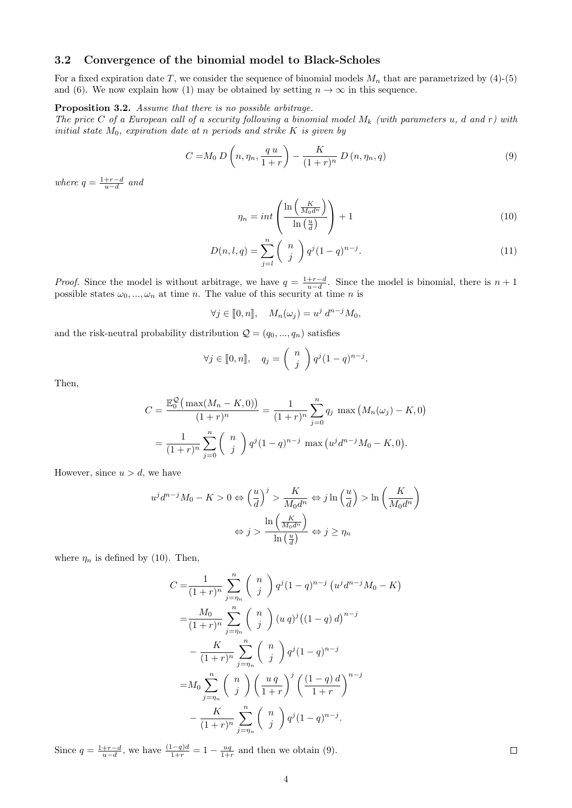#### 3.2 Convergence of the binomial model to Black-Scholes

For a fixed expiration date T, we consider the sequence of binomial models  $M_n$  that are parametrized by (4)-(5) and (6). We now explain how (1) may be obtained by setting  $n \to \infty$  in this sequence.

#### Proposition 3.2. Assume that there is no possible arbitrage.

The price C of a European call of a security following a binomial model  $M_k$  (with parameters u, d and r) with initial state  $M_0$ , expiration date at n periods and strike K is given by

$$
C = M_0 D\left(n, \eta_n, \frac{q u}{1+r}\right) - \frac{K}{(1+r)^n} D\left(n, \eta_n, q\right) \tag{9}
$$

where  $q = \frac{1+r-d}{u-d}$  and

$$
\eta_n = int\left(\frac{\ln\left(\frac{K}{M_0 d^n}\right)}{\ln\left(\frac{u}{d}\right)}\right) + 1\tag{10}
$$

$$
D(n, l, q) = \sum_{j=l}^{n} {n \choose j} q^{j} (1-q)^{n-j}.
$$
 (11)

*Proof.* Since the model is without arbitrage, we have  $q = \frac{1+r-d}{u-d}$ . Since the model is binomial, there is  $n+1$ possible states  $\omega_0, ..., \omega_n$  at time n. The value of this security at time n is

$$
\forall j \in [0, n], \quad M_n(\omega_j) = u^j d^{n-j} M_0,
$$

and the risk-neutral probability distribution  $\mathcal{Q} = (q_0, ..., q_n)$  satisfies

$$
\forall j \in [0, n], \quad q_j = \binom{n}{j} q^j (1 - q)^{n - j}.
$$

Then,

$$
C = \frac{\mathbb{E}_0^{\mathcal{Q}}(\max(M_n - K, 0))}{(1+r)^n} = \frac{1}{(1+r)^n} \sum_{j=0}^n q_j \max(M_n(\omega_j) - K, 0)
$$
  
= 
$$
\frac{1}{(1+r)^n} \sum_{j=0}^n {n \choose j} q^j (1-q)^{n-j} \max(u^j d^{n-j} M_0 - K, 0).
$$

However, since  $u > d$ , we have

$$
u^{j}d^{n-j}M_{0} - K > 0 \Leftrightarrow \left(\frac{u}{d}\right)^{j} > \frac{K}{M_{0}d^{n}} \Leftrightarrow j \ln\left(\frac{u}{d}\right) > \ln\left(\frac{K}{M_{0}d^{n}}\right)
$$

$$
\Leftrightarrow j > \frac{\ln\left(\frac{K}{M_{0}d^{n}}\right)}{\ln\left(\frac{u}{d}\right)} \Leftrightarrow j \ge \eta_{n}
$$

where  $\eta_n$  is defined by (10). Then,

$$
C = \frac{1}{(1+r)^n} \sum_{j=\eta_n}^{n} {n \choose j} q^j (1-q)^{n-j} (u^j d^{n-j} M_0 - K)
$$
  
= 
$$
\frac{M_0}{(1+r)^n} \sum_{j=\eta_n}^{n} {n \choose j} (u \, q)^j ((1-q) \, d)^{n-j}
$$
  
- 
$$
\frac{K}{(1+r)^n} \sum_{j=\eta_n}^{n} {n \choose j} q^j (1-q)^{n-j}
$$
  
= 
$$
M_0 \sum_{j=\eta_n}^{n} {n \choose j} \left(\frac{u \, q}{1+r}\right)^j \left(\frac{(1-q) \, d}{1+r}\right)^{n-j}
$$
  
- 
$$
\frac{K}{(1+r)^n} \sum_{j=\eta_n}^{n} {n \choose j} q^j (1-q)^{n-j}.
$$

Since  $q = \frac{1+r-d}{u-d}$ , we have  $\frac{(1-q)d}{1+r} = 1 - \frac{uq}{1+r}$  and then we obtain (9).

 $\Box$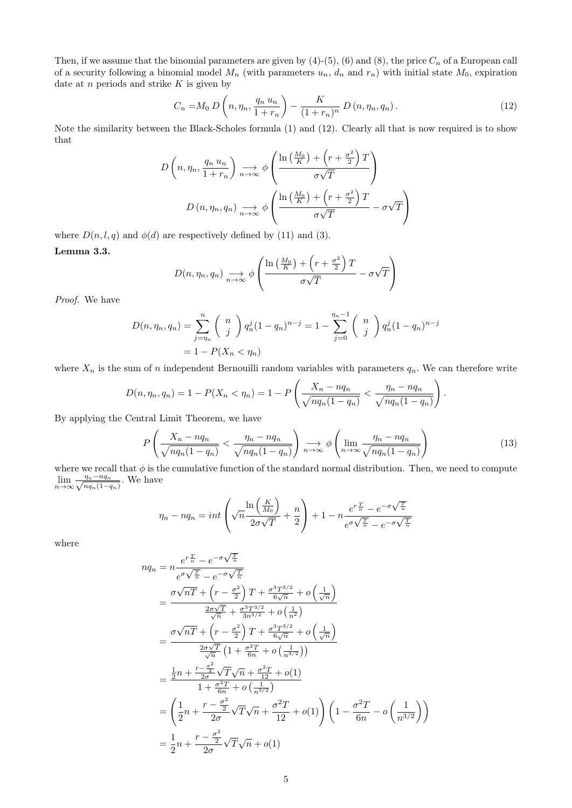Then, if we assume that the binomial parameters are given by  $(4)-(5)$ ,  $(6)$  and  $(8)$ , the price  $C_n$  of a European call of a security following a binomial model  $M_n$  (with parameters  $u_n$ ,  $d_n$  and  $r_n$ ) with initial state  $M_0$ , expiration date at  $n$  periods and strike  $K$  is given by

$$
C_n = M_0 D\left(n, \eta_n, \frac{q_n u_n}{1 + r_n}\right) - \frac{K}{(1 + r_n)^n} D\left(n, \eta_n, q_n\right).
$$
 (12)

Note the similarity between the Black-Scholes formula (1) and (12). Clearly all that is now required is to show that

$$
D\left(n, \eta_n, \frac{q_n u_n}{1+r_n}\right) \underset{n \to \infty}{\longrightarrow} \phi\left(\frac{\ln\left(\frac{M_0}{K}\right) + \left(r + \frac{\sigma^2}{2}\right)T}{\sigma\sqrt{T}}\right)
$$

$$
D\left(n, \eta_n, q_n\right) \underset{n \to \infty}{\longrightarrow} \phi\left(\frac{\ln\left(\frac{M_0}{K}\right) + \left(r + \frac{\sigma^2}{2}\right)T}{\sigma\sqrt{T}} - \sigma\sqrt{T}\right)
$$

where  $D(n, l, q)$  and  $\phi(d)$  are respectively defined by (11) and (3).

Lemma 3.3.

$$
D(n, \eta_n, q_n) \underset{n \to \infty}{\longrightarrow} \phi \left( \frac{\ln \left( \frac{M_0}{K} \right) + \left( r + \frac{\sigma^2}{2} \right) T}{\sigma \sqrt{T}} - \sigma \sqrt{T} \right)
$$

Proof. We have

$$
D(n, \eta_n, q_n) = \sum_{j=\eta_n}^n {n \choose j} q_n^j (1-q_n)^{n-j} = 1 - \sum_{j=0}^{\eta_n-1} {n \choose j} q_n^j (1-q_n)^{n-j}
$$
  
= 1 - P(X<sub>n</sub> < \eta\_n)

where  $X_n$  is the sum of n independent Bernouilli random variables with parameters  $q_n$ . We can therefore write

$$
D(n, \eta_n, q_n) = 1 - P(X_n < \eta_n) = 1 - P\left(\frac{X_n - nq_n}{\sqrt{nq_n(1 - q_n)}} < \frac{\eta_n - nq_n}{\sqrt{nq_n(1 - q_n)}}\right).
$$

By applying the Central Limit Theorem, we have

$$
P\left(\frac{X_n - nq_n}{\sqrt{nq_n(1 - q_n)}} < \frac{\eta_n - nq_n}{\sqrt{nq_n(1 - q_n)}}\right) \underset{n \to \infty}{\longrightarrow} \phi\left(\lim_{n \to \infty} \frac{\eta_n - nq_n}{\sqrt{nq_n(1 - q_n)}}\right) \tag{13}
$$

where we recall that  $\phi$  is the cumulative function of the standard normal distribution. Then, we need to compute  $\lim_{n\to\infty}\frac{\eta_n-nq_n}{\sqrt{nq_n(1-q_n)}}$  $\frac{\eta_n - nq_n}{nq_n(1-q_n)}$ . We have

$$
\eta_n - n q_n = int \left( \sqrt{n} \frac{\ln \left( \frac{K}{M_0} \right)}{2 \sigma \sqrt{T}} + \frac{n}{2} \right) + 1 - n \frac{e^{r \frac{T}{n}} - e^{-\sigma \sqrt{\frac{T}{n}}}}{e^{\sigma \sqrt{\frac{T}{n}} - e^{-\sigma \sqrt{\frac{T}{n}}}}}
$$

where

$$
nq_n = n \frac{e^{r\frac{T}{n}} - e^{-\sigma\sqrt{\frac{T}{n}}}}{e^{\sigma\sqrt{\frac{T}{n}} - e^{-\sigma\sqrt{\frac{T}{n}}}}}
$$
  
\n
$$
= \frac{\sigma\sqrt{nT} + \left(r - \frac{\sigma^2}{2}\right)T + \frac{\sigma^3 T^{3/2}}{6\sqrt{n}} + o\left(\frac{1}{\sqrt{n}}\right)}{\frac{2\sigma\sqrt{T}}{\sqrt{n}} + \frac{\sigma^3 T^{3/2}}{3n^{3/2}} + o\left(\frac{1}{n^2}\right)}
$$
  
\n
$$
= \frac{\sigma\sqrt{nT} + \left(r - \frac{\sigma^2}{2}\right)T + \frac{\sigma^3 T^{3/2}}{6\sqrt{n}} + o\left(\frac{1}{\sqrt{n}}\right)}{\frac{2\sigma\sqrt{T}}{\sqrt{n}}\left(1 + \frac{\sigma^2 T}{6n} + o\left(\frac{1}{n^{3/2}}\right)\right)}
$$
  
\n
$$
= \frac{\frac{1}{2}n + \frac{r - \frac{\sigma^2}{2}}{2\sigma}\sqrt{T}\sqrt{n} + \frac{\sigma^2 T}{12} + o(1)}{1 + \frac{\sigma^2 T}{6n} + o\left(\frac{1}{n^{3/2}}\right)}
$$
  
\n
$$
= \left(\frac{1}{2}n + \frac{r - \frac{\sigma^2}{2}}{2\sigma}\sqrt{T}\sqrt{n} + \frac{\sigma^2 T}{12} + o(1)\right)\left(1 - \frac{\sigma^2 T}{6n} - o\left(\frac{1}{n^{3/2}}\right)\right)
$$
  
\n
$$
= \frac{1}{2}n + \frac{r - \frac{\sigma^2}{2}}{2\sigma}\sqrt{T}\sqrt{n} + o(1)
$$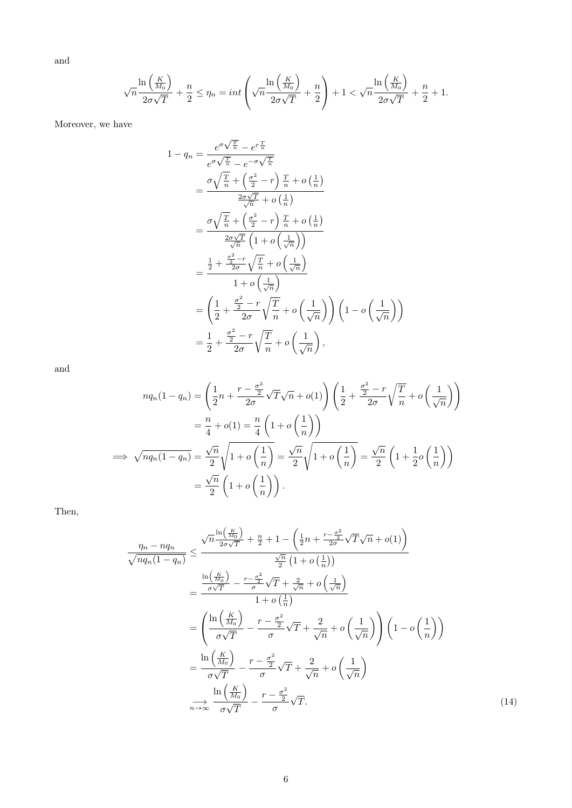and

$$
\sqrt{n}\frac{\ln\left(\frac{K}{M_0}\right)}{2\sigma\sqrt{T}} + \frac{n}{2} \le \eta_n = int\left(\sqrt{n}\frac{\ln\left(\frac{K}{M_0}\right)}{2\sigma\sqrt{T}} + \frac{n}{2}\right) + 1 < \sqrt{n}\frac{\ln\left(\frac{K}{M_0}\right)}{2\sigma\sqrt{T}} + \frac{n}{2} + 1.
$$

Moreover, we have

$$
1 - q_n = \frac{e^{\sigma \sqrt{\frac{T}{n}}} - e^{r\frac{T}{n}}}{e^{\sigma \sqrt{\frac{T}{n}}} - e^{-\sigma \sqrt{\frac{T}{n}}}} \\
= \frac{\sigma \sqrt{\frac{T}{n}} + \left(\frac{\sigma^2}{2} - r\right) \frac{T}{n} + o\left(\frac{1}{n}\right)}{\frac{2\sigma \sqrt{T}}{\sqrt{n}} + o\left(\frac{1}{n}\right)} \\
= \frac{\sigma \sqrt{\frac{T}{n}} + \left(\frac{\sigma^2}{2} - r\right) \frac{T}{n} + o\left(\frac{1}{n}\right)}{\frac{2\sigma \sqrt{T}}{\sqrt{n}} \left(1 + o\left(\frac{1}{\sqrt{n}}\right)\right)} \\
= \frac{\frac{1}{2} + \frac{\frac{\sigma^2}{2} - r}{2\sigma} \sqrt{\frac{T}{n}} + o\left(\frac{1}{\sqrt{n}}\right)}{1 + o\left(\frac{1}{\sqrt{n}}\right)} \\
= \left(\frac{1}{2} + \frac{\frac{\sigma^2}{2} - r}{2\sigma} \sqrt{\frac{T}{n}} + o\left(\frac{1}{\sqrt{n}}\right)\right) \left(1 - o\left(\frac{1}{\sqrt{n}}\right)\right) \\
= \frac{1}{2} + \frac{\frac{\sigma^2}{2} - r}{2\sigma} \sqrt{\frac{T}{n}} + o\left(\frac{1}{\sqrt{n}}\right),
$$

and

$$
nq_n(1-q_n) = \left(\frac{1}{2}n + \frac{r - \frac{\sigma^2}{2}}{2\sigma}\sqrt{T}\sqrt{n} + o(1)\right)\left(\frac{1}{2} + \frac{\frac{\sigma^2}{2} - r}{2\sigma}\sqrt{\frac{T}{n}} + o\left(\frac{1}{\sqrt{n}}\right)\right)
$$
  

$$
= \frac{n}{4} + o(1) = \frac{n}{4}\left(1 + o\left(\frac{1}{n}\right)\right)
$$
  

$$
\implies \sqrt{nq_n(1-q_n)} = \frac{\sqrt{n}}{2}\sqrt{1 + o\left(\frac{1}{n}\right)} = \frac{\sqrt{n}}{2}\sqrt{1 + o\left(\frac{1}{n}\right)} = \frac{\sqrt{n}}{2}\left(1 + \frac{1}{2}o\left(\frac{1}{n}\right)\right)
$$
  

$$
= \frac{\sqrt{n}}{2}\left(1 + o\left(\frac{1}{n}\right)\right).
$$

Then,

$$
\frac{\eta_n - n q_n}{\sqrt{n q_n (1 - q_n)}} \leq \frac{\sqrt{n} \frac{\ln\left(\frac{K}{M_0}\right)}{2\sigma\sqrt{T}} + \frac{n}{2} + 1 - \left(\frac{1}{2}n + \frac{r - \frac{\sigma^2}{2}}{2\sigma}\sqrt{T}\sqrt{n} + o(1)\right)}{\frac{\sqrt{n}}{2} (1 + o\left(\frac{1}{n}\right))}
$$
\n
$$
= \frac{\frac{\ln\left(\frac{K}{M_0}\right)}{\sigma\sqrt{T}} - \frac{r - \frac{\sigma^2}{2}}{\sigma}\sqrt{T} + \frac{2}{\sqrt{n}} + o\left(\frac{1}{\sqrt{n}}\right)}{1 + o\left(\frac{1}{n}\right)}
$$
\n
$$
= \left(\frac{\ln\left(\frac{K}{M_0}\right)}{\sigma\sqrt{T}} - \frac{r - \frac{\sigma^2}{2}}{\sigma}\sqrt{T} + \frac{2}{\sqrt{n}} + o\left(\frac{1}{\sqrt{n}}\right)\right) \left(1 - o\left(\frac{1}{n}\right)\right)
$$
\n
$$
= \frac{\ln\left(\frac{K}{M_0}\right)}{\sigma\sqrt{T}} - \frac{r - \frac{\sigma^2}{2}}{\sigma}\sqrt{T} + \frac{2}{\sqrt{n}} + o\left(\frac{1}{\sqrt{n}}\right)
$$
\n
$$
\frac{\ln\left(\frac{K}{M_0}\right)}{\sigma\sqrt{T}} - \frac{r - \frac{\sigma^2}{2}}{\sigma}\sqrt{T}.
$$
\n(14)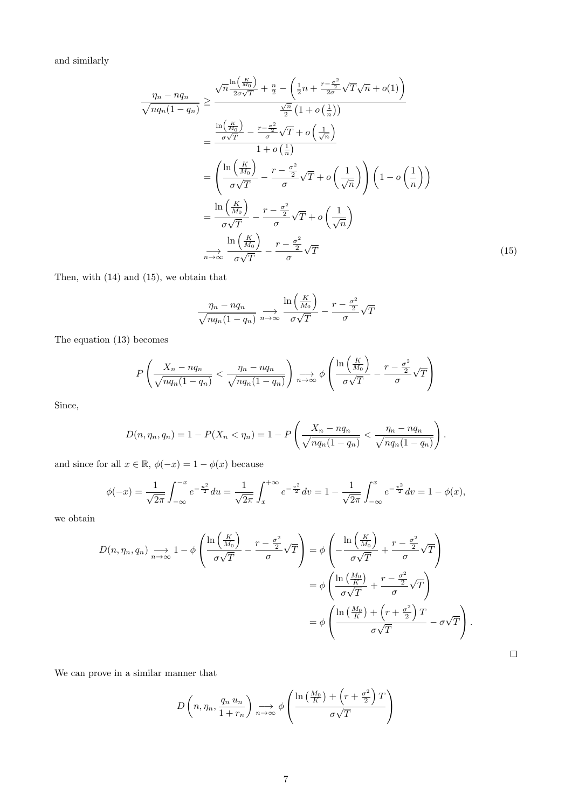and similarly

$$
\frac{\eta_n - n q_n}{\sqrt{n q_n (1 - q_n)}} \geq \frac{\sqrt{n} \frac{\ln\left(\frac{K}{M_0}\right)}{2\sigma\sqrt{T}} + \frac{n}{2} - \left(\frac{1}{2}n + \frac{r - \frac{\sigma^2}{2}}{2\sigma}\sqrt{T}\sqrt{n} + o(1)\right)}{\frac{\sqrt{n}}{2} (1 + o\left(\frac{1}{n}\right))}
$$
\n
$$
= \frac{\frac{\ln\left(\frac{K}{M_0}\right)}{\sigma\sqrt{T}} - \frac{r - \frac{\sigma^2}{2}}{\sigma}\sqrt{T} + o\left(\frac{1}{\sqrt{n}}\right)}{1 + o\left(\frac{1}{n}\right)}
$$
\n
$$
= \left(\frac{\ln\left(\frac{K}{M_0}\right)}{\sigma\sqrt{T}} - \frac{r - \frac{\sigma^2}{2}}{\sigma}\sqrt{T} + o\left(\frac{1}{\sqrt{n}}\right)\right) \left(1 - o\left(\frac{1}{n}\right)\right)
$$
\n
$$
= \frac{\ln\left(\frac{K}{M_0}\right)}{\sigma\sqrt{T}} - \frac{r - \frac{\sigma^2}{2}}{\sigma}\sqrt{T} + o\left(\frac{1}{\sqrt{n}}\right)
$$
\n
$$
\frac{\ln\left(\frac{K}{M_0}\right)}{\sigma\sqrt{T}} - \frac{r - \frac{\sigma^2}{2}}{\sigma}\sqrt{T}
$$
\n(15)

Then, with (14) and (15), we obtain that

$$
\frac{\eta_n - n q_n}{\sqrt{n q_n (1 - q_n)}} \underset{n \to \infty}{\longrightarrow} \frac{\ln\left(\frac{K}{M_0}\right)}{\sigma \sqrt{T}} - \frac{r - \frac{\sigma^2}{2}}{\sigma} \sqrt{T}
$$

The equation (13) becomes

$$
P\left(\frac{X_n - nq_n}{\sqrt{nq_n(1 - q_n)}} < \frac{\eta_n - nq_n}{\sqrt{nq_n(1 - q_n)}}\right) \underset{n \to \infty}{\longrightarrow} \phi\left(\frac{\ln\left(\frac{K}{M_0}\right)}{\sigma\sqrt{T}} - \frac{r - \frac{\sigma^2}{2}}{\sigma}\sqrt{T}\right)
$$

Since,

$$
D(n, \eta_n, q_n) = 1 - P(X_n < \eta_n) = 1 - P\left(\frac{X_n - nq_n}{\sqrt{nq_n(1 - q_n)}} < \frac{\eta_n - nq_n}{\sqrt{nq_n(1 - q_n)}}\right).
$$

and since for all  $x \in \mathbb{R}$ ,  $\phi(-x) = 1 - \phi(x)$  because

$$
\phi(-x) = \frac{1}{\sqrt{2\pi}} \int_{-\infty}^{-x} e^{-\frac{u^2}{2}} du = \frac{1}{\sqrt{2\pi}} \int_{x}^{+\infty} e^{-\frac{v^2}{2}} dv = 1 - \frac{1}{\sqrt{2\pi}} \int_{-\infty}^{x} e^{-\frac{v^2}{2}} dv = 1 - \phi(x),
$$

we obtain

$$
D(n, \eta_n, q_n) \underset{n \to \infty}{\longrightarrow} 1 - \phi \left( \frac{\ln \left( \frac{K}{M_0} \right)}{\sigma \sqrt{T}} - \frac{r - \frac{\sigma^2}{2}}{\sigma} \sqrt{T} \right) = \phi \left( -\frac{\ln \left( \frac{K}{M_0} \right)}{\sigma \sqrt{T}} + \frac{r - \frac{\sigma^2}{2}}{\sigma} \sqrt{T} \right)
$$
  

$$
= \phi \left( \frac{\ln \left( \frac{M_0}{K} \right)}{\sigma \sqrt{T}} + \frac{r - \frac{\sigma^2}{2}}{\sigma} \sqrt{T} \right)
$$
  

$$
= \phi \left( \frac{\ln \left( \frac{M_0}{K} \right) + \left( r + \frac{\sigma^2}{2} \right) T}{\sigma \sqrt{T}} - \sigma \sqrt{T} \right).
$$

We can prove in a similar manner that

$$
D\left(n, \eta_n, \frac{q_n u_n}{1 + r_n}\right) \underset{n \to \infty}{\longrightarrow} \phi\left(\frac{\ln\left(\frac{M_0}{K}\right) + \left(r + \frac{\sigma^2}{2}\right)T}{\sigma\sqrt{T}}\right)
$$

 $\Box$